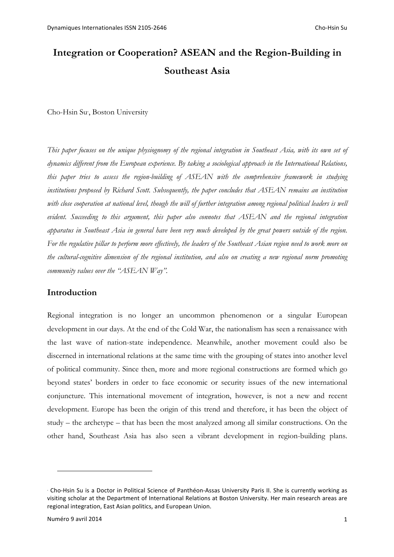# **Integration or Cooperation? ASEAN and the Region-Building in Southeast Asia**

Cho-Hsin Su<sup>∗</sup> , Boston University

*This paper focuses on the unique physiognomy of the regional integration in Southeast Asia, with its own set of dynamics different from the European experience. By taking a sociological approach in the International Relations, this paper tries to assess the region-building of ASEAN with the comprehensive framework in studying institutions proposed by Richard Scott. Subsequently, the paper concludes that ASEAN remains an institution*  with close cooperation at national level, though the will of further integration among regional political leaders is well *evident. Succeeding to this argument, this paper also connotes that ASEAN and the regional integration apparatus in Southeast Asia in general have been very much developed by the great powers outside of the region. For the regulative pillar to perform more effectively, the leaders of the Southeast Asian region need to work more on the cultural-cognitive dimension of the regional institution, and also on creating a new regional norm promoting community values over the "ASEAN Way".*

## **Introduction**

Regional integration is no longer an uncommon phenomenon or a singular European development in our days. At the end of the Cold War, the nationalism has seen a renaissance with the last wave of nation-state independence. Meanwhile, another movement could also be discerned in international relations at the same time with the grouping of states into another level of political community. Since then, more and more regional constructions are formed which go beyond states' borders in order to face economic or security issues of the new international conjuncture. This international movement of integration, however, is not a new and recent development. Europe has been the origin of this trend and therefore, it has been the object of study – the archetype – that has been the most analyzed among all similar constructions. On the other hand, Southeast Asia has also seen a vibrant development in region-building plans.

<sup>∗</sup> Cho-Hsin Su is a Doctor in Political Science of Panthéon-Assas University Paris II. She is currently working as visiting scholar at the Department of International Relations at Boston University. Her main research areas are regional integration, East Asian politics, and European Union.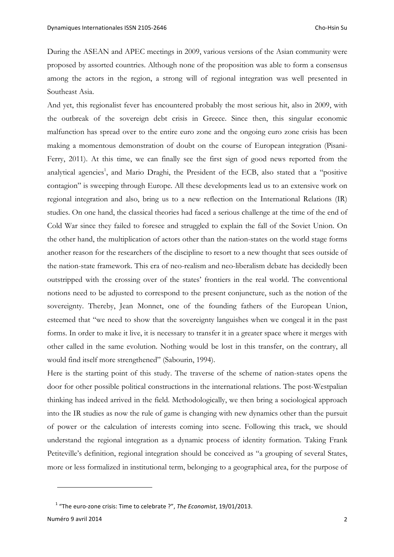During the ASEAN and APEC meetings in 2009, various versions of the Asian community were proposed by assorted countries. Although none of the proposition was able to form a consensus among the actors in the region, a strong will of regional integration was well presented in Southeast Asia.

And yet, this regionalist fever has encountered probably the most serious hit, also in 2009, with the outbreak of the sovereign debt crisis in Greece. Since then, this singular economic malfunction has spread over to the entire euro zone and the ongoing euro zone crisis has been making a momentous demonstration of doubt on the course of European integration (Pisani-Ferry, 2011). At this time, we can finally see the first sign of good news reported from the analytical agencies<sup>1</sup>, and Mario Draghi, the President of the ECB, also stated that a "positive contagion" is sweeping through Europe. All these developments lead us to an extensive work on regional integration and also, bring us to a new reflection on the International Relations (IR) studies. On one hand, the classical theories had faced a serious challenge at the time of the end of Cold War since they failed to foresee and struggled to explain the fall of the Soviet Union. On the other hand, the multiplication of actors other than the nation-states on the world stage forms another reason for the researchers of the discipline to resort to a new thought that sees outside of the nation-state framework. This era of neo-realism and neo-liberalism debate has decidedly been outstripped with the crossing over of the states' frontiers in the real world. The conventional notions need to be adjusted to correspond to the present conjuncture, such as the notion of the sovereignty. Thereby, Jean Monnet, one of the founding fathers of the European Union, esteemed that "we need to show that the sovereignty languishes when we congeal it in the past forms. In order to make it live, it is necessary to transfer it in a greater space where it merges with other called in the same evolution. Nothing would be lost in this transfer, on the contrary, all would find itself more strengthened" (Sabourin, 1994).

Here is the starting point of this study. The traverse of the scheme of nation-states opens the door for other possible political constructions in the international relations. The post-Westpalian thinking has indeed arrived in the field. Methodologically, we then bring a sociological approach into the IR studies as now the rule of game is changing with new dynamics other than the pursuit of power or the calculation of interests coming into scene. Following this track, we should understand the regional integration as a dynamic process of identity formation. Taking Frank Petiteville's definition, regional integration should be conceived as "a grouping of several States, more or less formalized in institutional term, belonging to a geographical area, for the purpose of

Numéro 9 avril 2014 **2014** 

<sup>&</sup>lt;sup>1</sup> "The euro-zone crisis: Time to celebrate ?", *The Economist*, 19/01/2013.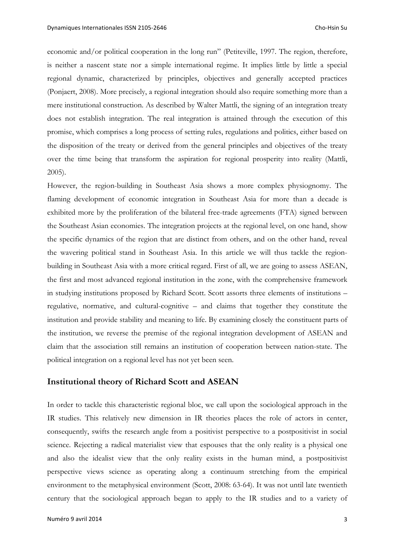economic and/or political cooperation in the long run" (Petiteville, 1997. The region, therefore, is neither a nascent state nor a simple international regime. It implies little by little a special regional dynamic, characterized by principles, objectives and generally accepted practices (Ponjaert, 2008). More precisely, a regional integration should also require something more than a mere institutional construction. As described by Walter Mattli, the signing of an integration treaty does not establish integration. The real integration is attained through the execution of this promise, which comprises a long process of setting rules, regulations and politics, either based on the disposition of the treaty or derived from the general principles and objectives of the treaty over the time being that transform the aspiration for regional prosperity into reality (Mattli, 2005).

However, the region-building in Southeast Asia shows a more complex physiognomy. The flaming development of economic integration in Southeast Asia for more than a decade is exhibited more by the proliferation of the bilateral free-trade agreements (FTA) signed between the Southeast Asian economies. The integration projects at the regional level, on one hand, show the specific dynamics of the region that are distinct from others, and on the other hand, reveal the wavering political stand in Southeast Asia. In this article we will thus tackle the regionbuilding in Southeast Asia with a more critical regard. First of all, we are going to assess ASEAN, the first and most advanced regional institution in the zone, with the comprehensive framework in studying institutions proposed by Richard Scott. Scott assorts three elements of institutions – regulative, normative, and cultural-cognitive – and claims that together they constitute the institution and provide stability and meaning to life. By examining closely the constituent parts of the institution, we reverse the premise of the regional integration development of ASEAN and claim that the association still remains an institution of cooperation between nation-state. The political integration on a regional level has not yet been seen.

### **Institutional theory of Richard Scott and ASEAN**

In order to tackle this characteristic regional bloc, we call upon the sociological approach in the IR studies. This relatively new dimension in IR theories places the role of actors in center, consequently, swifts the research angle from a positivist perspective to a postpositivist in social science. Rejecting a radical materialist view that espouses that the only reality is a physical one and also the idealist view that the only reality exists in the human mind, a postpositivist perspective views science as operating along a continuum stretching from the empirical environment to the metaphysical environment (Scott, 2008: 63-64). It was not until late twentieth century that the sociological approach began to apply to the IR studies and to a variety of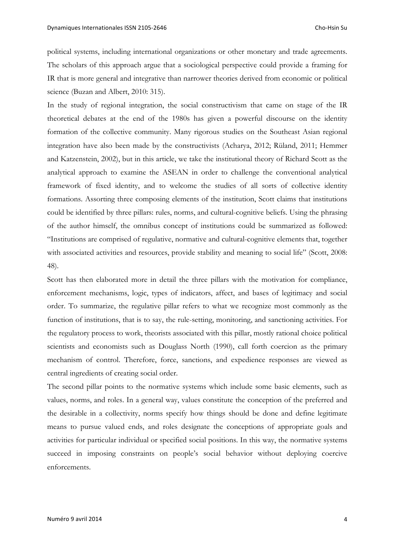political systems, including international organizations or other monetary and trade agreements. The scholars of this approach argue that a sociological perspective could provide a framing for IR that is more general and integrative than narrower theories derived from economic or political science (Buzan and Albert, 2010: 315).

In the study of regional integration, the social constructivism that came on stage of the IR theoretical debates at the end of the 1980s has given a powerful discourse on the identity formation of the collective community. Many rigorous studies on the Southeast Asian regional integration have also been made by the constructivists (Acharya, 2012; Rüland, 2011; Hemmer and Katzenstein, 2002), but in this article, we take the institutional theory of Richard Scott as the analytical approach to examine the ASEAN in order to challenge the conventional analytical framework of fixed identity, and to welcome the studies of all sorts of collective identity formations. Assorting three composing elements of the institution, Scott claims that institutions could be identified by three pillars: rules, norms, and cultural-cognitive beliefs. Using the phrasing of the author himself, the omnibus concept of institutions could be summarized as followed: "Institutions are comprised of regulative, normative and cultural-cognitive elements that, together with associated activities and resources, provide stability and meaning to social life" (Scott, 2008: 48).

Scott has then elaborated more in detail the three pillars with the motivation for compliance, enforcement mechanisms, logic, types of indicators, affect, and bases of legitimacy and social order. To summarize, the regulative pillar refers to what we recognize most commonly as the function of institutions, that is to say, the rule-setting, monitoring, and sanctioning activities. For the regulatory process to work, theorists associated with this pillar, mostly rational choice political scientists and economists such as Douglass North (1990), call forth coercion as the primary mechanism of control. Therefore, force, sanctions, and expedience responses are viewed as central ingredients of creating social order.

The second pillar points to the normative systems which include some basic elements, such as values, norms, and roles. In a general way, values constitute the conception of the preferred and the desirable in a collectivity, norms specify how things should be done and define legitimate means to pursue valued ends, and roles designate the conceptions of appropriate goals and activities for particular individual or specified social positions. In this way, the normative systems succeed in imposing constraints on people's social behavior without deploying coercive enforcements.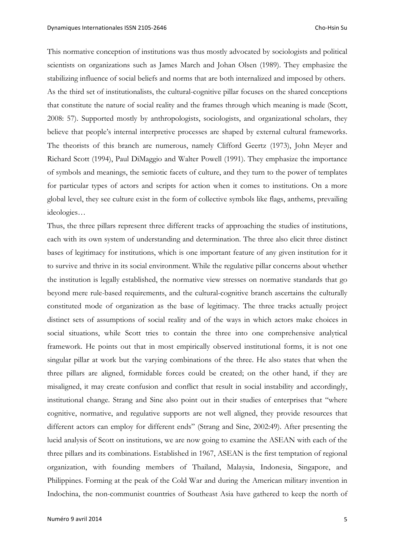This normative conception of institutions was thus mostly advocated by sociologists and political scientists on organizations such as James March and Johan Olsen (1989). They emphasize the stabilizing influence of social beliefs and norms that are both internalized and imposed by others. As the third set of institutionalists, the cultural-cognitive pillar focuses on the shared conceptions that constitute the nature of social reality and the frames through which meaning is made (Scott, 2008: 57). Supported mostly by anthropologists, sociologists, and organizational scholars, they believe that people's internal interpretive processes are shaped by external cultural frameworks. The theorists of this branch are numerous, namely Clifford Geertz (1973), John Meyer and Richard Scott (1994), Paul DiMaggio and Walter Powell (1991). They emphasize the importance of symbols and meanings, the semiotic facets of culture, and they turn to the power of templates for particular types of actors and scripts for action when it comes to institutions. On a more global level, they see culture exist in the form of collective symbols like flags, anthems, prevailing ideologies…

Thus, the three pillars represent three different tracks of approaching the studies of institutions, each with its own system of understanding and determination. The three also elicit three distinct bases of legitimacy for institutions, which is one important feature of any given institution for it to survive and thrive in its social environment. While the regulative pillar concerns about whether the institution is legally established, the normative view stresses on normative standards that go beyond mere rule-based requirements, and the cultural-cognitive branch ascertains the culturally constituted mode of organization as the base of legitimacy. The three tracks actually project distinct sets of assumptions of social reality and of the ways in which actors make choices in social situations, while Scott tries to contain the three into one comprehensive analytical framework. He points out that in most empirically observed institutional forms, it is not one singular pillar at work but the varying combinations of the three. He also states that when the three pillars are aligned, formidable forces could be created; on the other hand, if they are misaligned, it may create confusion and conflict that result in social instability and accordingly, institutional change. Strang and Sine also point out in their studies of enterprises that "where cognitive, normative, and regulative supports are not well aligned, they provide resources that different actors can employ for different ends" (Strang and Sine, 2002:49). After presenting the lucid analysis of Scott on institutions, we are now going to examine the ASEAN with each of the three pillars and its combinations. Established in 1967, ASEAN is the first temptation of regional organization, with founding members of Thailand, Malaysia, Indonesia, Singapore, and Philippines. Forming at the peak of the Cold War and during the American military invention in Indochina, the non-communist countries of Southeast Asia have gathered to keep the north of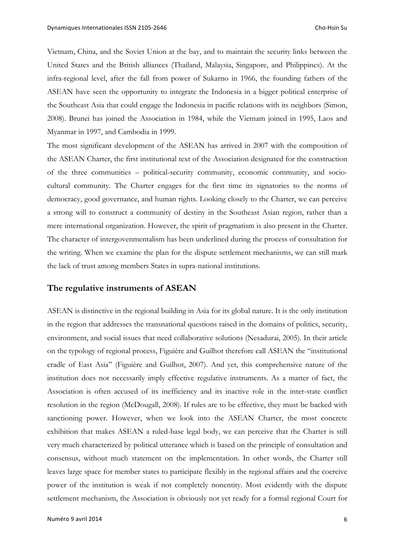Vietnam, China, and the Soviet Union at the bay, and to maintain the security links between the United States and the British alliances (Thailand, Malaysia, Singapore, and Philippines). At the infra-regional level, after the fall from power of Sukarno in 1966, the founding fathers of the ASEAN have seen the opportunity to integrate the Indonesia in a bigger political enterprise of the Southeast Asia that could engage the Indonesia in pacific relations with its neighbors (Simon, 2008). Brunei has joined the Association in 1984, while the Vietnam joined in 1995, Laos and Myanmar in 1997, and Cambodia in 1999.

The most significant development of the ASEAN has arrived in 2007 with the composition of the ASEAN Charter, the first institutional text of the Association designated for the construction of the three communities – political-security community, economic community, and sociocultural community. The Charter engages for the first time its signatories to the norms of democracy, good governance, and human rights. Looking closely to the Charter, we can perceive a strong will to construct a community of destiny in the Southeast Asian region, rather than a mere international organization. However, the spirit of pragmatism is also present in the Charter. The character of intergovenmentalism has been underlined during the process of consultation for the writing. When we examine the plan for the dispute settlement mechanisms, we can still mark the lack of trust among members States in supra-national institutions.

#### **The regulative instruments of ASEAN**

ASEAN is distinctive in the regional building in Asia for its global nature. It is the only institution in the region that addresses the transnational questions raised in the domains of politics, security, environment, and social issues that need collaborative solutions (Nesadurai, 2005). In their article on the typology of regional process, Figuière and Guilhot therefore call ASEAN the "institutional cradle of East Asia" (Figuière and Guilhot, 2007). And yet, this comprehensive nature of the institution does not necessarily imply effective regulative instruments. As a matter of fact, the Association is often accused of its inefficiency and its inactive role in the inter-state conflict resolution in the region (McDougall, 2008). If rules are to be effective, they must be backed with sanctioning power. However, when we look into the ASEAN Charter, the most concrete exhibition that makes ASEAN a ruled-base legal body, we can perceive that the Charter is still very much characterized by political utterance which is based on the principle of consultation and consensus, without much statement on the implementation. In other words, the Charter still leaves large space for member states to participate flexibly in the regional affairs and the coercive power of the institution is weak if not completely nonentity. Most evidently with the dispute settlement mechanism, the Association is obviously not yet ready for a formal regional Court for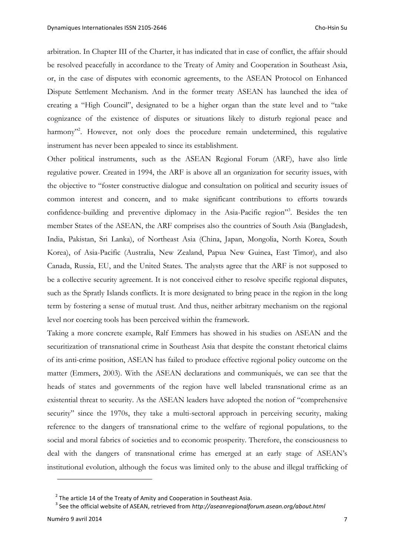arbitration. In Chapter III of the Charter, it has indicated that in case of conflict, the affair should be resolved peacefully in accordance to the Treaty of Amity and Cooperation in Southeast Asia, or, in the case of disputes with economic agreements, to the ASEAN Protocol on Enhanced Dispute Settlement Mechanism. And in the former treaty ASEAN has launched the idea of creating a "High Council", designated to be a higher organ than the state level and to "take cognizance of the existence of disputes or situations likely to disturb regional peace and harmony"<sup>2</sup>. However, not only does the procedure remain undetermined, this regulative instrument has never been appealed to since its establishment.

Other political instruments, such as the ASEAN Regional Forum (ARF), have also little regulative power. Created in 1994, the ARF is above all an organization for security issues, with the objective to "foster constructive dialogue and consultation on political and security issues of common interest and concern, and to make significant contributions to efforts towards confidence-building and preventive diplomacy in the Asia-Pacific region"<sup>3</sup>. Besides the ten member States of the ASEAN, the ARF comprises also the countries of South Asia (Bangladesh, India, Pakistan, Sri Lanka), of Northeast Asia (China, Japan, Mongolia, North Korea, South Korea), of Asia-Pacific (Australia, New Zealand, Papua New Guinea, East Timor), and also Canada, Russia, EU, and the United States. The analysts agree that the ARF is not supposed to be a collective security agreement. It is not conceived either to resolve specific regional disputes, such as the Spratly Islands conflicts. It is more designated to bring peace in the region in the long term by fostering a sense of mutual trust. And thus, neither arbitrary mechanism on the regional level nor coercing tools has been perceived within the framework.

Taking a more concrete example, Ralf Emmers has showed in his studies on ASEAN and the securitization of transnational crime in Southeast Asia that despite the constant rhetorical claims of its anti-crime position, ASEAN has failed to produce effective regional policy outcome on the matter (Emmers, 2003). With the ASEAN declarations and communiqués, we can see that the heads of states and governments of the region have well labeled transnational crime as an existential threat to security. As the ASEAN leaders have adopted the notion of "comprehensive security" since the 1970s, they take a multi-sectoral approach in perceiving security, making reference to the dangers of transnational crime to the welfare of regional populations, to the social and moral fabrics of societies and to economic prosperity. Therefore, the consciousness to deal with the dangers of transnational crime has emerged at an early stage of ASEAN's institutional evolution, although the focus was limited only to the abuse and illegal trafficking of

 $2$  The article 14 of the Treaty of Amity and Cooperation in Southeast Asia.

<sup>&</sup>lt;sup>3</sup> See the official website of ASEAN, retrieved from http://aseanregionalforum.asean.org/about.html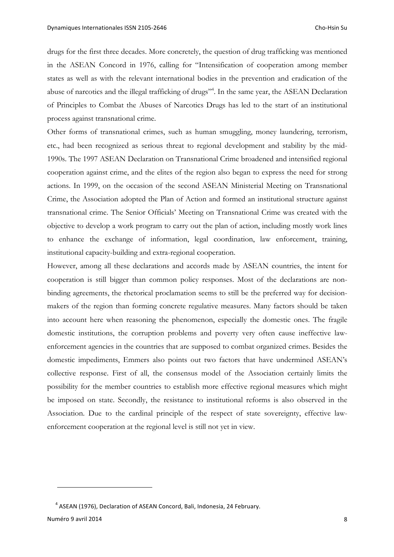drugs for the first three decades. More concretely, the question of drug trafficking was mentioned in the ASEAN Concord in 1976, calling for "Intensification of cooperation among member states as well as with the relevant international bodies in the prevention and eradication of the abuse of narcotics and the illegal trafficking of drugs"<sup>4</sup>. In the same year, the ASEAN Declaration of Principles to Combat the Abuses of Narcotics Drugs has led to the start of an institutional process against transnational crime.

Other forms of transnational crimes, such as human smuggling, money laundering, terrorism, etc., had been recognized as serious threat to regional development and stability by the mid-1990s. The 1997 ASEAN Declaration on Transnational Crime broadened and intensified regional cooperation against crime, and the elites of the region also began to express the need for strong actions. In 1999, on the occasion of the second ASEAN Ministerial Meeting on Transnational Crime, the Association adopted the Plan of Action and formed an institutional structure against transnational crime. The Senior Officials' Meeting on Transnational Crime was created with the objective to develop a work program to carry out the plan of action, including mostly work lines to enhance the exchange of information, legal coordination, law enforcement, training, institutional capacity-building and extra-regional cooperation.

However, among all these declarations and accords made by ASEAN countries, the intent for cooperation is still bigger than common policy responses. Most of the declarations are nonbinding agreements, the rhetorical proclamation seems to still be the preferred way for decisionmakers of the region than forming concrete regulative measures. Many factors should be taken into account here when reasoning the phenomenon, especially the domestic ones. The fragile domestic institutions, the corruption problems and poverty very often cause ineffective lawenforcement agencies in the countries that are supposed to combat organized crimes. Besides the domestic impediments, Emmers also points out two factors that have undermined ASEAN's collective response. First of all, the consensus model of the Association certainly limits the possibility for the member countries to establish more effective regional measures which might be imposed on state. Secondly, the resistance to institutional reforms is also observed in the Association. Due to the cardinal principle of the respect of state sovereignty, effective lawenforcement cooperation at the regional level is still not yet in view.

Numéro 9 avril 2014 **8** 

<sup>&</sup>lt;sup>4</sup> ASEAN (1976), Declaration of ASEAN Concord, Bali, Indonesia, 24 February.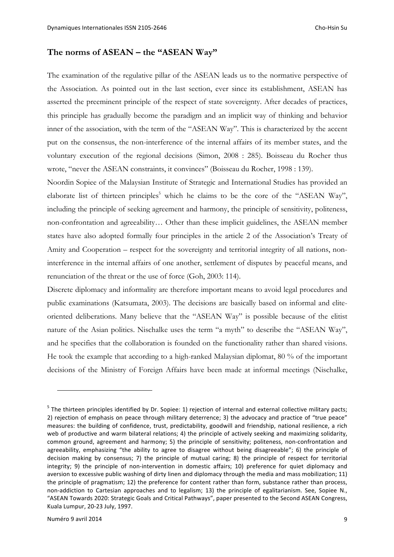## **The norms of ASEAN – the "ASEAN Way"**

The examination of the regulative pillar of the ASEAN leads us to the normative perspective of the Association. As pointed out in the last section, ever since its establishment, ASEAN has asserted the preeminent principle of the respect of state sovereignty. After decades of practices, this principle has gradually become the paradigm and an implicit way of thinking and behavior inner of the association, with the term of the "ASEAN Way". This is characterized by the accent put on the consensus, the non-interference of the internal affairs of its member states, and the voluntary execution of the regional decisions (Simon, 2008 : 285). Boisseau du Rocher thus wrote, "never the ASEAN constraints, it convinces" (Boisseau du Rocher, 1998 : 139).

Noordin Sopiee of the Malaysian Institute of Strategic and International Studies has provided an elaborate list of thirteen principles<sup>5</sup> which he claims to be the core of the "ASEAN Way", including the principle of seeking agreement and harmony, the principle of sensitivity, politeness, non-confrontation and agreeability… Other than these implicit guidelines, the ASEAN member states have also adopted formally four principles in the article 2 of the Association's Treaty of Amity and Cooperation – respect for the sovereignty and territorial integrity of all nations, noninterference in the internal affairs of one another, settlement of disputes by peaceful means, and renunciation of the threat or the use of force (Goh, 2003: 114).

Discrete diplomacy and informality are therefore important means to avoid legal procedures and public examinations (Katsumata, 2003). The decisions are basically based on informal and eliteoriented deliberations. Many believe that the "ASEAN Way" is possible because of the elitist nature of the Asian politics. Nischalke uses the term "a myth" to describe the "ASEAN Way", and he specifies that the collaboration is founded on the functionality rather than shared visions. He took the example that according to a high-ranked Malaysian diplomat, 80 % of the important decisions of the Ministry of Foreign Affairs have been made at informal meetings (Nischalke,

 $<sup>5</sup>$  The thirteen principles identified by Dr. Sopiee: 1) rejection of internal and external collective military pacts;</sup> 2) rejection of emphasis on peace through military deterrence; 3) the advocacy and practice of "true peace" measures: the building of confidence, trust, predictability, goodwill and friendship, national resilience, a rich web of productive and warm bilateral relations; 4) the principle of actively seeking and maximizing solidarity, common ground, agreement and harmony; 5) the principle of sensitivity; politeness, non-confrontation and agreeability, emphasizing "the ability to agree to disagree without being disagreeable"; 6) the principle of decision making by consensus; 7) the principle of mutual caring; 8) the principle of respect for territorial integrity; 9) the principle of non-intervention in domestic affairs; 10) preference for quiet diplomacy and aversion to excessive public washing of dirty linen and diplomacy through the media and mass mobilization; 11) the principle of pragmatism; 12) the preference for content rather than form, substance rather than process, non-addiction to Cartesian approaches and to legalism; 13) the principle of egalitarianism. See, Sopiee N., "ASEAN Towards 2020: Strategic Goals and Critical Pathways", paper presented to the Second ASEAN Congress, Kuala Lumpur, 20-23 July, 1997.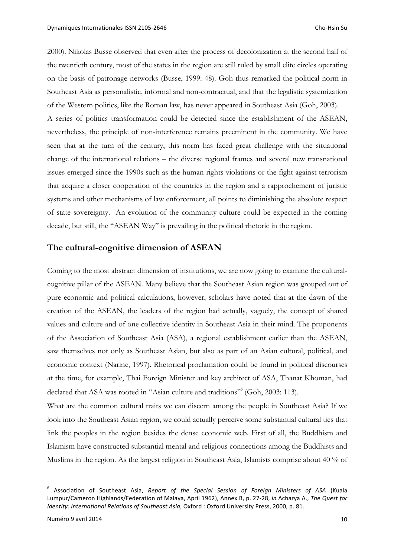2000). Nikolas Busse observed that even after the process of decolonization at the second half of the twentieth century, most of the states in the region are still ruled by small elite circles operating on the basis of patronage networks (Busse, 1999: 48). Goh thus remarked the political norm in Southeast Asia as personalistic, informal and non-contractual, and that the legalistic systemization of the Western politics, like the Roman law, has never appeared in Southeast Asia (Goh, 2003). A series of politics transformation could be detected since the establishment of the ASEAN, nevertheless, the principle of non-interference remains preeminent in the community. We have seen that at the turn of the century, this norm has faced great challenge with the situational change of the international relations – the diverse regional frames and several new transnational issues emerged since the 1990s such as the human rights violations or the fight against terrorism that acquire a closer cooperation of the countries in the region and a rapprochement of juristic systems and other mechanisms of law enforcement, all points to diminishing the absolute respect of state sovereignty. An evolution of the community culture could be expected in the coming decade, but still, the "ASEAN Way" is prevailing in the political rhetoric in the region.

#### **The cultural-cognitive dimension of ASEAN**

Coming to the most abstract dimension of institutions, we are now going to examine the culturalcognitive pillar of the ASEAN. Many believe that the Southeast Asian region was grouped out of pure economic and political calculations, however, scholars have noted that at the dawn of the creation of the ASEAN, the leaders of the region had actually, vaguely, the concept of shared values and culture and of one collective identity in Southeast Asia in their mind. The proponents of the Association of Southeast Asia (ASA), a regional establishment earlier than the ASEAN, saw themselves not only as Southeast Asian, but also as part of an Asian cultural, political, and economic context (Narine, 1997). Rhetorical proclamation could be found in political discourses at the time, for example, Thai Foreign Minister and key architect of ASA, Thanat Khoman, had declared that ASA was rooted in "Asian culture and traditions" (Goh, 2003: 113).

What are the common cultural traits we can discern among the people in Southeast Asia? If we look into the Southeast Asian region, we could actually perceive some substantial cultural ties that link the peoples in the region besides the dense economic web. First of all, the Buddhism and Islamism have constructed substantial mental and religious connections among the Buddhists and Muslims in the region. As the largest religion in Southeast Asia, Islamists comprise about 40 % of

<sup>&</sup>lt;sup>6</sup> Association of Southeast Asia, Report of the Special Session of Foreign Ministers of ASA (Kuala Lumpur/Cameron Highlands/Federation of Malaya, April 1962), Annex B, p. 27-28, *in* Acharya A., The Quest for *Identity: International Relations of Southeast Asia, Oxford : Oxford University Press, 2000, p. 81.*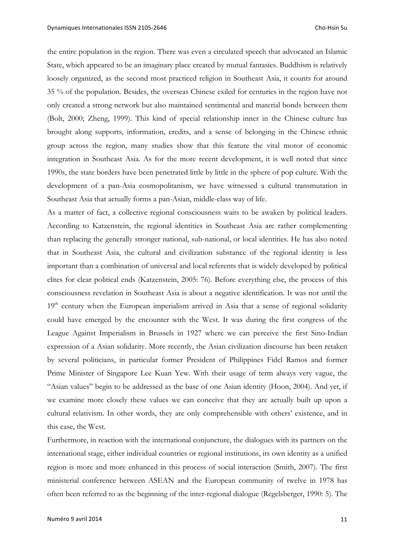the entire population in the region. There was even a circulated speech that advocated an Islamic State, which appeared to be an imaginary place created by mutual fantasies. Buddhism is relatively loosely organized, as the second most practiced religion in Southeast Asia, it counts for around 35 % of the population. Besides, the overseas Chinese exiled for centuries in the region have not only created a strong network but also maintained sentimental and material bonds between them (Bolt, 2000; Zheng, 1999). This kind of special relationship inner in the Chinese culture has brought along supports, information, credits, and a sense of belonging in the Chinese ethnic group across the region, many studies show that this feature the vital motor of economic integration in Southeast Asia. As for the more recent development, it is well noted that since 1990s, the state borders have been penetrated little by little in the sphere of pop culture. With the development of a pan-Asia cosmopolitanism, we have witnessed a cultural transmutation in Southeast Asia that actually forms a pan-Asian, middle-class way of life.

As a matter of fact, a collective regional consciousness waits to be awaken by political leaders. According to Katzenstein, the regional identities in Southeast Asia are rather complementing than replacing the generally stronger national, sub-national, or local identities. He has also noted that in Southeast Asia, the cultural and civilization substance of the regional identity is less important than a combination of universal and local referents that is widely developed by political elites for clear political ends (Katzenstein, 2005: 76). Before everything else, the process of this consciousness revelation in Southeast Asia is about a negative identification. It was not until the  $19<sup>th</sup>$  century when the European imperialism arrived in Asia that a sense of regional solidarity could have emerged by the encounter with the West. It was during the first congress of the League Against Imperialism in Brussels in 1927 where we can perceive the first Sino-Indian expression of a Asian solidarity. More recently, the Asian civilization discourse has been retaken by several politicians, in particular former President of Philippines Fidel Ramos and former Prime Minister of Singapore Lee Kuan Yew. With their usage of term always very vague, the "Asian values" begin to be addressed as the base of one Asian identity (Hoon, 2004). And yet, if we examine more closely these values we can conceive that they are actually built up upon a cultural relativism. In other words, they are only comprehensible with others' existence, and in this case, the West.

Furthermore, in reaction with the international conjuncture, the dialogues with its partners on the international stage, either individual countries or regional institutions, its own identity as a unified region is more and more enhanced in this process of social interaction (Smith, 2007). The first ministerial conference between ASEAN and the European community of twelve in 1978 has often been referred to as the beginning of the inter-regional dialogue (Regelsberger, 1990: 5). The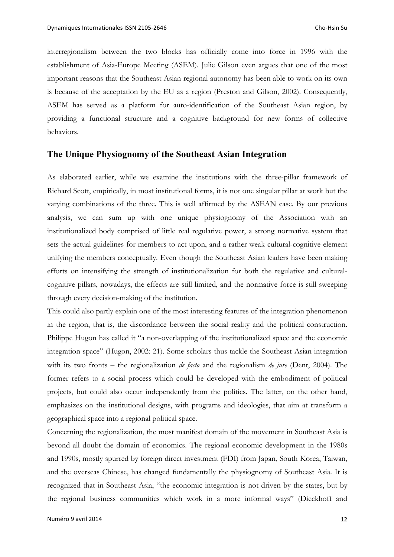interregionalism between the two blocks has officially come into force in 1996 with the establishment of Asia-Europe Meeting (ASEM). Julie Gilson even argues that one of the most important reasons that the Southeast Asian regional autonomy has been able to work on its own is because of the acceptation by the EU as a region (Preston and Gilson, 2002). Consequently, ASEM has served as a platform for auto-identification of the Southeast Asian region, by providing a functional structure and a cognitive background for new forms of collective behaviors.

## **The Unique Physiognomy of the Southeast Asian Integration**

As elaborated earlier, while we examine the institutions with the three-pillar framework of Richard Scott, empirically, in most institutional forms, it is not one singular pillar at work but the varying combinations of the three. This is well affirmed by the ASEAN case. By our previous analysis, we can sum up with one unique physiognomy of the Association with an institutionalized body comprised of little real regulative power, a strong normative system that sets the actual guidelines for members to act upon, and a rather weak cultural-cognitive element unifying the members conceptually. Even though the Southeast Asian leaders have been making efforts on intensifying the strength of institutionalization for both the regulative and culturalcognitive pillars, nowadays, the effects are still limited, and the normative force is still sweeping through every decision-making of the institution.

This could also partly explain one of the most interesting features of the integration phenomenon in the region, that is, the discordance between the social reality and the political construction. Philippe Hugon has called it "a non-overlapping of the institutionalized space and the economic integration space" (Hugon, 2002: 21). Some scholars thus tackle the Southeast Asian integration with its two fronts – the regionalization *de facto* and the regionalism *de jure* (Dent, 2004). The former refers to a social process which could be developed with the embodiment of political projects, but could also occur independently from the politics. The latter, on the other hand, emphasizes on the institutional designs, with programs and ideologies, that aim at transform a geographical space into a regional political space.

Concerning the regionalization, the most manifest domain of the movement in Southeast Asia is beyond all doubt the domain of economics. The regional economic development in the 1980s and 1990s, mostly spurred by foreign direct investment (FDI) from Japan, South Korea, Taiwan, and the overseas Chinese, has changed fundamentally the physiognomy of Southeast Asia. It is recognized that in Southeast Asia, "the economic integration is not driven by the states, but by the regional business communities which work in a more informal ways" (Dieckhoff and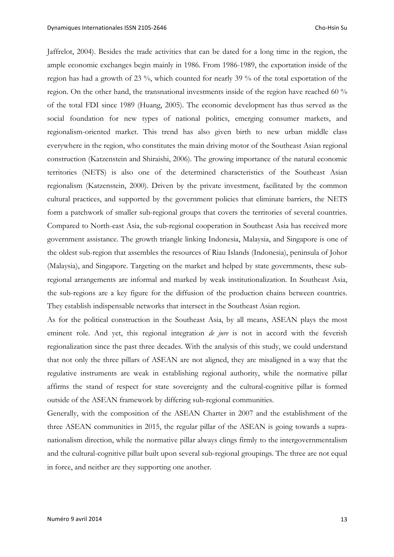Jaffrelot, 2004). Besides the trade activities that can be dated for a long time in the region, the ample economic exchanges begin mainly in 1986. From 1986-1989, the exportation inside of the region has had a growth of 23 %, which counted for nearly 39 % of the total exportation of the region. On the other hand, the transnational investments inside of the region have reached 60 % of the total FDI since 1989 (Huang, 2005). The economic development has thus served as the social foundation for new types of national politics, emerging consumer markets, and regionalism-oriented market. This trend has also given birth to new urban middle class everywhere in the region, who constitutes the main driving motor of the Southeast Asian regional construction (Katzenstein and Shiraishi, 2006). The growing importance of the natural economic territories (NETS) is also one of the determined characteristics of the Southeast Asian regionalism (Katzenstein, 2000). Driven by the private investment, facilitated by the common cultural practices, and supported by the government policies that eliminate barriers, the NETS form a patchwork of smaller sub-regional groups that covers the territories of several countries. Compared to North-east Asia, the sub-regional cooperation in Southeast Asia has received more government assistance. The growth triangle linking Indonesia, Malaysia, and Singapore is one of the oldest sub-region that assembles the resources of Riau Islands (Indonesia), peninsula of Johor (Malaysia), and Singapore. Targeting on the market and helped by state governments, these subregional arrangements are informal and marked by weak institutionalization. In Southeast Asia, the sub-regions are a key figure for the diffusion of the production chains between countries. They establish indispensable networks that intersect in the Southeast Asian region.

As for the political construction in the Southeast Asia, by all means, ASEAN plays the most eminent role. And yet, this regional integration *de jure* is not in accord with the feverish regionalization since the past three decades. With the analysis of this study, we could understand that not only the three pillars of ASEAN are not aligned, they are misaligned in a way that the regulative instruments are weak in establishing regional authority, while the normative pillar affirms the stand of respect for state sovereignty and the cultural-cognitive pillar is formed outside of the ASEAN framework by differing sub-regional communities.

Generally, with the composition of the ASEAN Charter in 2007 and the establishment of the three ASEAN communities in 2015, the regular pillar of the ASEAN is going towards a supranationalism direction, while the normative pillar always clings firmly to the intergovernmentalism and the cultural-cognitive pillar built upon several sub-regional groupings. The three are not equal in force, and neither are they supporting one another.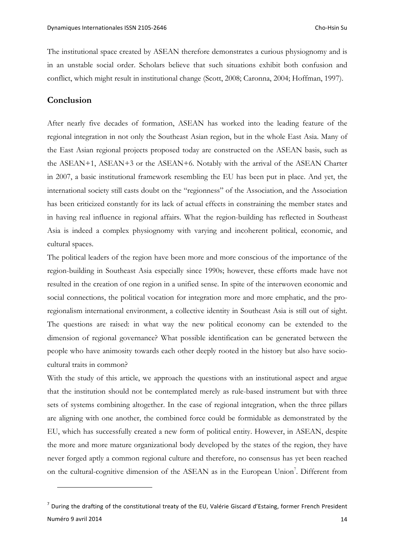The institutional space created by ASEAN therefore demonstrates a curious physiognomy and is in an unstable social order. Scholars believe that such situations exhibit both confusion and conflict, which might result in institutional change (Scott, 2008; Caronna, 2004; Hoffman, 1997).

### **Conclusion**

 $\overline{a}$ 

After nearly five decades of formation, ASEAN has worked into the leading feature of the regional integration in not only the Southeast Asian region, but in the whole East Asia. Many of the East Asian regional projects proposed today are constructed on the ASEAN basis, such as the ASEAN+1, ASEAN+3 or the ASEAN+6. Notably with the arrival of the ASEAN Charter in 2007, a basic institutional framework resembling the EU has been put in place. And yet, the international society still casts doubt on the "regionness" of the Association, and the Association has been criticized constantly for its lack of actual effects in constraining the member states and in having real influence in regional affairs. What the region-building has reflected in Southeast Asia is indeed a complex physiognomy with varying and incoherent political, economic, and cultural spaces.

The political leaders of the region have been more and more conscious of the importance of the region-building in Southeast Asia especially since 1990s; however, these efforts made have not resulted in the creation of one region in a unified sense. In spite of the interwoven economic and social connections, the political vocation for integration more and more emphatic, and the proregionalism international environment, a collective identity in Southeast Asia is still out of sight. The questions are raised: in what way the new political economy can be extended to the dimension of regional governance? What possible identification can be generated between the people who have animosity towards each other deeply rooted in the history but also have sociocultural traits in common?

With the study of this article, we approach the questions with an institutional aspect and argue that the institution should not be contemplated merely as rule-based instrument but with three sets of systems combining altogether. In the case of regional integration, when the three pillars are aligning with one another, the combined force could be formidable as demonstrated by the EU, which has successfully created a new form of political entity. However, in ASEAN, despite the more and more mature organizational body developed by the states of the region, they have never forged aptly a common regional culture and therefore, no consensus has yet been reached on the cultural-cognitive dimension of the ASEAN as in the European Union<sup>7</sup>. Different from

Numéro 9 avril 2014 **14**  $^7$  During the drafting of the constitutional treaty of the EU, Valérie Giscard d'Estaing, former French President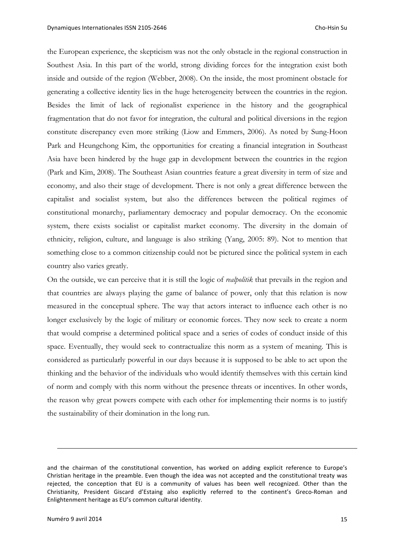the European experience, the skepticism was not the only obstacle in the regional construction in Southest Asia. In this part of the world, strong dividing forces for the integration exist both inside and outside of the region (Webber, 2008). On the inside, the most prominent obstacle for generating a collective identity lies in the huge heterogeneity between the countries in the region. Besides the limit of lack of regionalist experience in the history and the geographical fragmentation that do not favor for integration, the cultural and political diversions in the region constitute discrepancy even more striking (Liow and Emmers, 2006). As noted by Sung-Hoon Park and Heungchong Kim, the opportunities for creating a financial integration in Southeast Asia have been hindered by the huge gap in development between the countries in the region (Park and Kim, 2008). The Southeast Asian countries feature a great diversity in term of size and economy, and also their stage of development. There is not only a great difference between the capitalist and socialist system, but also the differences between the political regimes of constitutional monarchy, parliamentary democracy and popular democracy. On the economic system, there exists socialist or capitalist market economy. The diversity in the domain of ethnicity, religion, culture, and language is also striking (Yang, 2005: 89). Not to mention that something close to a common citizenship could not be pictured since the political system in each country also varies greatly.

On the outside, we can perceive that it is still the logic of *realpolitik* that prevails in the region and that countries are always playing the game of balance of power, only that this relation is now measured in the conceptual sphere. The way that actors interact to influence each other is no longer exclusively by the logic of military or economic forces. They now seek to create a norm that would comprise a determined political space and a series of codes of conduct inside of this space. Eventually, they would seek to contractualize this norm as a system of meaning. This is considered as particularly powerful in our days because it is supposed to be able to act upon the thinking and the behavior of the individuals who would identify themselves with this certain kind of norm and comply with this norm without the presence threats or incentives. In other words, the reason why great powers compete with each other for implementing their norms is to justify the sustainability of their domination in the long run.

and the chairman of the constitutional convention, has worked on adding explicit reference to Europe's Christian heritage in the preamble. Even though the idea was not accepted and the constitutional treaty was rejected, the conception that EU is a community of values has been well recognized. Other than the Christianity, President Giscard d'Estaing also explicitly referred to the continent's Greco-Roman and Enlightenment heritage as EU's common cultural identity.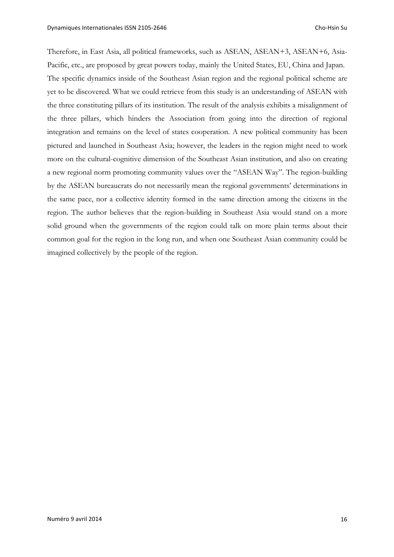Therefore, in East Asia, all political frameworks, such as ASEAN, ASEAN+3, ASEAN+6, Asia-Pacific, etc., are proposed by great powers today, mainly the United States, EU, China and Japan. The specific dynamics inside of the Southeast Asian region and the regional political scheme are yet to be discovered. What we could retrieve from this study is an understanding of ASEAN with the three constituting pillars of its institution. The result of the analysis exhibits a misalignment of the three pillars, which hinders the Association from going into the direction of regional integration and remains on the level of states cooperation. A new political community has been pictured and launched in Southeast Asia; however, the leaders in the region might need to work more on the cultural-cognitive dimension of the Southeast Asian institution, and also on creating a new regional norm promoting community values over the "ASEAN Way". The region-building by the ASEAN bureaucrats do not necessarily mean the regional governments' determinations in the same pace, nor a collective identity formed in the same direction among the citizens in the region. The author believes that the region-building in Southeast Asia would stand on a more solid ground when the governments of the region could talk on more plain terms about their common goal for the region in the long run, and when one Southeast Asian community could be imagined collectively by the people of the region.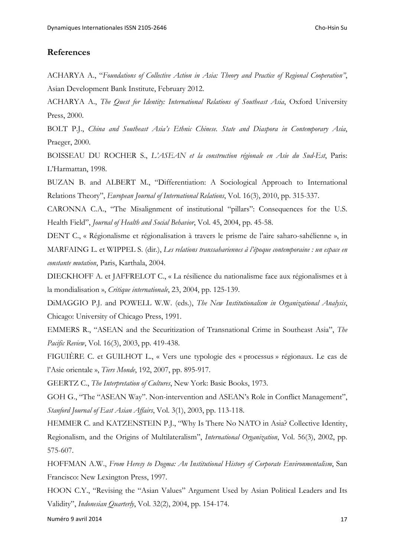## **References**

ACHARYA A., "*Foundations of Collective Action in Asia: Theory and Practice of Regional Cooperation"*, Asian Development Bank Institute, February 2012.

ACHARYA A., *The Quest for Identity: International Relations of Southeast Asia*, Oxford University Press, 2000.

BOLT P.J., *China and Southeast Asia's Ethnic Chinese. State and Diaspora in Contemporary Asia*, Praeger, 2000.

BOISSEAU DU ROCHER S., *L'ASEAN et la construction régionale en Asie du Sud-Est*, Paris: L'Harmattan, 1998.

BUZAN B. and ALBERT M., "Differentiation: A Sociological Approach to International Relations Theory", *European Journal of International Relations*, Vol. 16(3), 2010, pp. 315-337.

CARONNA C.A., "The Misalignment of institutional "pillars": Consequences for the U.S. Health Field", *Journal of Health and Social Behavior*, Vol. 45, 2004, pp. 45-58.

DENT C., « Régionalisme et régionalisation à travers le prisme de l'aire saharo-sahélienne », in MARFAING L. et WIPPEL S. (dir.), *Les relations transsahariennes à l'époque contemporaine : un espace en constante mutation*, Paris, Karthala, 2004.

DIECKHOFF A. et JAFFRELOT C., « La résilience du nationalisme face aux régionalismes et à la mondialisation », *Critique internationale*, 23, 2004, pp. 125-139.

DiMAGGIO P.J. and POWELL W.W. (eds.), *The New Institutionalism in Organizational Analysis*, Chicago: University of Chicago Press, 1991.

EMMERS R., "ASEAN and the Securitization of Transnational Crime in Southeast Asia", *The Pacific Review*, Vol. 16(3), 2003, pp. 419-438.

FIGUIÈRE C. et GUILHOT L., « Vers une typologie des « processus » régionaux. Le cas de l'Asie orientale », *Tiers Monde*, 192, 2007, pp. 895-917.

GEERTZ C., *The Interpretation of Cultures*, New York: Basic Books, 1973.

GOH G., "The "ASEAN Way". Non-intervention and ASEAN's Role in Conflict Management", *Stanford Journal of East Asian Affairs*, Vol. 3(1), 2003, pp. 113-118.

HEMMER C. and KATZENSTEIN P.J., "Why Is There No NATO in Asia? Collective Identity, Regionalism, and the Origins of Multilateralism", *International Organization*, Vol. 56(3), 2002, pp. 575-607.

HOFFMAN A.W., *From Heresy to Dogma: An Institutional History of Corporate Environmentalism*, San Francisco: New Lexington Press, 1997.

HOON C.Y., "Revising the "Asian Values" Argument Used by Asian Political Leaders and Its Validity", *Indonesian Quarterly*, Vol. 32(2), 2004, pp. 154-174.

Numéro 9 avril 2014 **17**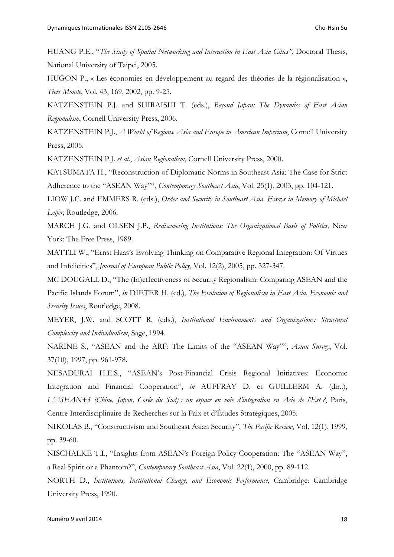HUANG P.E., "*The Study of Spatial Networking and Interaction in East Asia Cities"*, Doctoral Thesis, National University of Taipei, 2005.

HUGON P., « Les économies en développement au regard des théories de la régionalisation », *Tiers Monde*, Vol. 43, 169, 2002, pp. 9-25.

KATZENSTEIN P.J. and SHIRAISHI T. (eds.), *Beyond Japan: The Dynamics of East Asian Regionalism*, Cornell University Press, 2006.

KATZENSTEIN P.J., *A World of Regions. Asia and Europe in American Imperium*, Cornell University Press, 2005.

KATZENSTEIN P.J. *et al*., *Asian Regionalism*, Cornell University Press, 2000.

KATSUMATA H., "Reconstruction of Diplomatic Norms in Southeast Asia: The Case for Strict Adherence to the "ASEAN Way"", *Contemporary Southeast Asia*, Vol. 25(1), 2003, pp. 104-121.

LIOW J.C. and EMMERS R. (eds.), *Order and Security in Southeast Asia. Essays in Memory of Michael Leifer*, Routledge, 2006.

MARCH J.G. and OLSEN J.P., *Rediscovering Institutions: The Organizational Basis of Politics*, New York: The Free Press, 1989.

MATTLI W., "Ernst Haas's Evolving Thinking on Comparative Regional Integration: Of Virtues and Infelicities", *Journal of European Public Policy*, Vol. 12(2), 2005, pp. 327-347.

MC DOUGALL D., "The (In)effectiveness of Security Regionalism: Comparing ASEAN and the Pacific Islands Forum", *in* DIETER H. (ed.), *The Evolution of Regionalism in East Asia. Economic and Security Issues*, Routledge, 2008.

MEYER, J.W. and SCOTT R. (eds.), *Institutional Environments and Organizations: Structural Complexity and Individualism*, Sage, 1994.

NARINE S., "ASEAN and the ARF: The Limits of the "ASEAN Way"", *Asian Survey*, Vol. 37(10), 1997, pp. 961-978.

NESADURAI H.E.S., "ASEAN's Post-Financial Crisis Regional Initiatives: Economic Integration and Financial Cooperation", *in* AUFFRAY D. et GUILLERM A. (dir..), *L'ASEAN+3 (Chine, Japon, Corée du Sud) : un espace en voie d'intégration en Asie de l'Est ?*, Paris, Centre Interdisciplinaire de Recherches sur la Paix et d'Études Stratégiques, 2005.

NIKOLAS B., "Constructivism and Southeast Asian Security", *The Pacific Review*, Vol. 12(1), 1999, pp. 39-60.

NISCHALKE T.I., "Insights from ASEAN's Foreign Policy Cooperation: The "ASEAN Way", a Real Spirit or a Phantom?", *Contemporary Southeast Asia*, Vol. 22(1), 2000, pp. 89-112.

NORTH D., *Institutions, Institutional Change, and Economic Performance*, Cambridge: Cambridge University Press, 1990.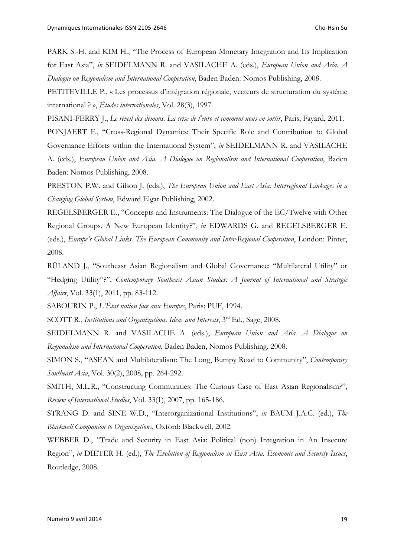PARK S.-H. and KIM H., "The Process of European Monetary Integration and Its Implication for East Asia", *in* SEIDELMANN R. and VASILACHE A. (eds.), *European Union and Asia. A Dialogue on Regionalism and International Cooperation*, Baden Baden: Nomos Publishing, 2008.

PETITEVILLE P., « Les processus d'intégration régionale, vecteurs de structuration du système international ? », *Études internationales*, Vol. 28(3), 1997.

PISANI-FERRY J., *Le réveil des démons. La crise de l'euro et comment nous en sortir*, Paris, Fayard, 2011.

PONJAERT F., "Cross-Regional Dynamics: Their Specific Role and Contribution to Global Governance Efforts within the International System", *in* SEIDELMANN R. and VASILACHE A. (eds.), *European Union and Asia. A Dialogue on Regionalism and International Cooperation*, Baden Baden: Nomos Publishing, 2008.

PRESTON P.W. and Gilson J. (eds.), *The European Union and East Asia: Interregional Linkages in a Changing Global System*, Edward Elgar Publishing, 2002.

REGELSBERGER E., "Concepts and Instruments: The Dialogue of the EC/Twelve with Other Regional Groups. A New European Identity?", *in* EDWARDS G. and REGELSBERGER E. (eds.), *Europe's Global Links. The European Community and Inter-Regional Cooperation*, London: Pinter, 2008.

RÜLAND J., "Southeast Asian Regionalism and Global Governance: "Multilateral Utility" or "Hedging Utility"?", *Contemporary Southeast Asian Studies: A Journal of International and Strategic Affairs*, Vol. 33(1), 2011, pp. 83-112.

SABOURIN P., *L'État nation face aux Europes*, Paris: PUF, 1994.

SCOTT R., *Institutions and Organizations. Ideas and Interests*, 3<sup>rd</sup> Ed., Sage, 2008.

SEIDELMANN R. and VASILACHE A. (eds.), *European Union and Asia. A Dialogue on Regionalism and International Cooperation*, Baden Baden, Nomos Publishing, 2008.

SIMON S., "ASEAN and Multilateralism: The Long, Bumpy Road to Community", *Contemporary Southeast Asia*, Vol. 30(2), 2008, pp. 264-292.

SMITH, M.L.R., "Constructing Communities: The Curious Case of East Asian Regionalism?", *Review of International Studies*, Vol. 33(1), 2007, pp. 165-186.

STRANG D. and SINE W.D., "Interorganizational Institutions", *in* BAUM J.A.C. (ed.), *The Blackwell Companion to Organizations*, Oxford: Blackwell, 2002.

WEBBER D., "Trade and Security in East Asia: Political (non) Integration in An Insecure Region", *in* DIETER H. (ed.), *The Evolution of Regionalism in East Asia. Economic and Security Issues*, Routledge, 2008.